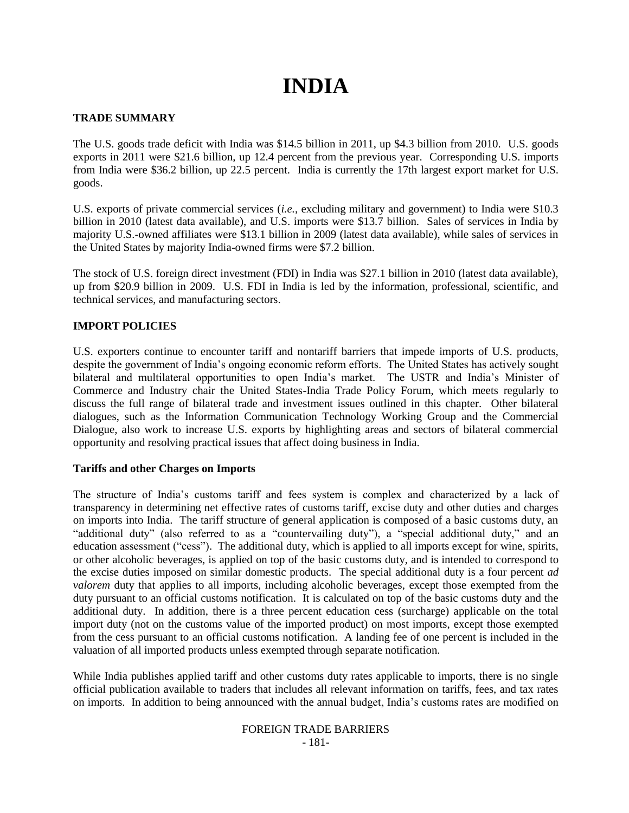# **INDIA**

## **TRADE SUMMARY**

The U.S. goods trade deficit with India was \$14.5 billion in 2011, up \$4.3 billion from 2010. U.S. goods exports in 2011 were \$21.6 billion, up 12.4 percent from the previous year. Corresponding U.S. imports from India were \$36.2 billion, up 22.5 percent. India is currently the 17th largest export market for U.S. goods.

U.S. exports of private commercial services (*i.e.*, excluding military and government) to India were \$10.3 billion in 2010 (latest data available), and U.S. imports were \$13.7 billion. Sales of services in India by majority U.S.-owned affiliates were \$13.1 billion in 2009 (latest data available), while sales of services in the United States by majority India-owned firms were \$7.2 billion.

The stock of U.S. foreign direct investment (FDI) in India was \$27.1 billion in 2010 (latest data available), up from \$20.9 billion in 2009. U.S. FDI in India is led by the information, professional, scientific, and technical services, and manufacturing sectors.

## **IMPORT POLICIES**

U.S. exporters continue to encounter tariff and nontariff barriers that impede imports of U.S. products, despite the government of India"s ongoing economic reform efforts. The United States has actively sought bilateral and multilateral opportunities to open India's market. The USTR and India's Minister of Commerce and Industry chair the United States-India Trade Policy Forum, which meets regularly to discuss the full range of bilateral trade and investment issues outlined in this chapter. Other bilateral dialogues, such as the Information Communication Technology Working Group and the Commercial Dialogue, also work to increase U.S. exports by highlighting areas and sectors of bilateral commercial opportunity and resolving practical issues that affect doing business in India.

## **Tariffs and other Charges on Imports**

The structure of India"s customs tariff and fees system is complex and characterized by a lack of transparency in determining net effective rates of customs tariff, excise duty and other duties and charges on imports into India. The tariff structure of general application is composed of a basic customs duty, an "additional duty" (also referred to as a "countervailing duty"), a "special additional duty," and an education assessment ("cess"). The additional duty, which is applied to all imports except for wine, spirits, or other alcoholic beverages, is applied on top of the basic customs duty, and is intended to correspond to the excise duties imposed on similar domestic products. The special additional duty is a four percent *ad*  valorem duty that applies to all imports, including alcoholic beverages, except those exempted from the duty pursuant to an official customs notification. It is calculated on top of the basic customs duty and the additional duty. In addition, there is a three percent education cess (surcharge) applicable on the total import duty (not on the customs value of the imported product) on most imports, except those exempted from the cess pursuant to an official customs notification. A landing fee of one percent is included in the valuation of all imported products unless exempted through separate notification.

While India publishes applied tariff and other customs duty rates applicable to imports, there is no single official publication available to traders that includes all relevant information on tariffs, fees, and tax rates on imports. In addition to being announced with the annual budget, India"s customs rates are modified on

#### FOREIGN TRADE BARRIERS - 181-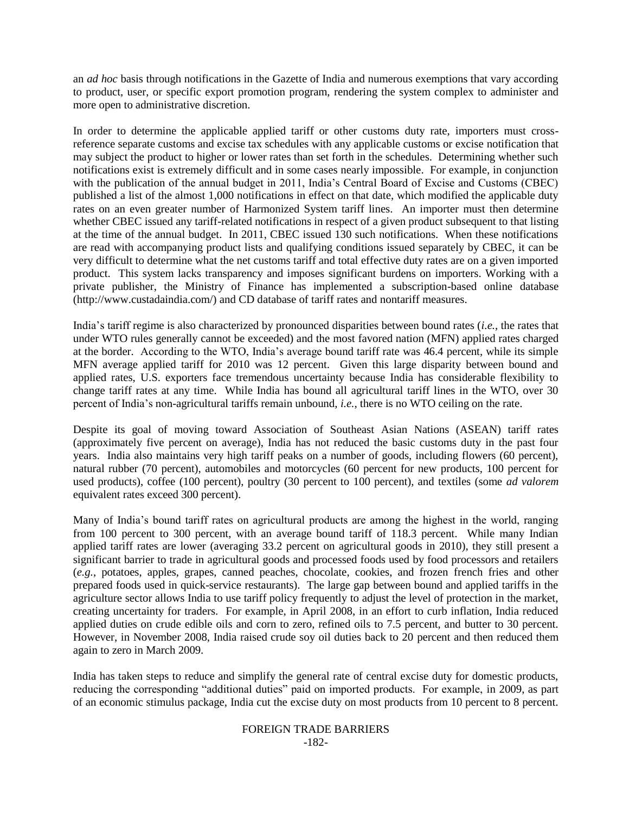an *ad hoc* basis through notifications in the Gazette of India and numerous exemptions that vary according to product, user, or specific export promotion program, rendering the system complex to administer and more open to administrative discretion.

In order to determine the applicable applied tariff or other customs duty rate, importers must crossreference separate customs and excise tax schedules with any applicable customs or excise notification that may subject the product to higher or lower rates than set forth in the schedules. Determining whether such notifications exist is extremely difficult and in some cases nearly impossible. For example, in conjunction with the publication of the annual budget in 2011, India"s Central Board of Excise and Customs (CBEC) published a list of the almost 1,000 notifications in effect on that date, which modified the applicable duty rates on an even greater number of Harmonized System tariff lines. An importer must then determine whether CBEC issued any tariff-related notifications in respect of a given product subsequent to that listing at the time of the annual budget. In 2011, CBEC issued 130 such notifications. When these notifications are read with accompanying product lists and qualifying conditions issued separately by CBEC, it can be very difficult to determine what the net customs tariff and total effective duty rates are on a given imported product. This system lacks transparency and imposes significant burdens on importers. Working with a private publisher, the Ministry of Finance has implemented a subscription-based online database (http://www.custadaindia.com/) and CD database of tariff rates and nontariff measures.

India"s tariff regime is also characterized by pronounced disparities between bound rates (*i.e.*, the rates that under WTO rules generally cannot be exceeded) and the most favored nation (MFN) applied rates charged at the border. According to the WTO, India"s average bound tariff rate was 46.4 percent, while its simple MFN average applied tariff for 2010 was 12 percent. Given this large disparity between bound and applied rates, U.S. exporters face tremendous uncertainty because India has considerable flexibility to change tariff rates at any time. While India has bound all agricultural tariff lines in the WTO, over 30 percent of India"s non-agricultural tariffs remain unbound, *i.e.*, there is no WTO ceiling on the rate.

Despite its goal of moving toward Association of Southeast Asian Nations (ASEAN) tariff rates (approximately five percent on average), India has not reduced the basic customs duty in the past four years. India also maintains very high tariff peaks on a number of goods, including flowers (60 percent), natural rubber (70 percent), automobiles and motorcycles (60 percent for new products, 100 percent for used products), coffee (100 percent), poultry (30 percent to 100 percent), and textiles (some *ad valorem* equivalent rates exceed 300 percent).

Many of India"s bound tariff rates on agricultural products are among the highest in the world, ranging from 100 percent to 300 percent, with an average bound tariff of 118.3 percent. While many Indian applied tariff rates are lower (averaging 33.2 percent on agricultural goods in 2010), they still present a significant barrier to trade in agricultural goods and processed foods used by food processors and retailers (*e.g.*, potatoes, apples, grapes, canned peaches, chocolate, cookies, and frozen french fries and other prepared foods used in quick-service restaurants). The large gap between bound and applied tariffs in the agriculture sector allows India to use tariff policy frequently to adjust the level of protection in the market, creating uncertainty for traders. For example, in April 2008, in an effort to curb inflation, India reduced applied duties on crude edible oils and corn to zero, refined oils to 7.5 percent, and butter to 30 percent. However, in November 2008, India raised crude soy oil duties back to 20 percent and then reduced them again to zero in March 2009.

India has taken steps to reduce and simplify the general rate of central excise duty for domestic products, reducing the corresponding "additional duties" paid on imported products. For example, in 2009, as part of an economic stimulus package, India cut the excise duty on most products from 10 percent to 8 percent.

#### FOREIGN TRADE BARRIERS -182-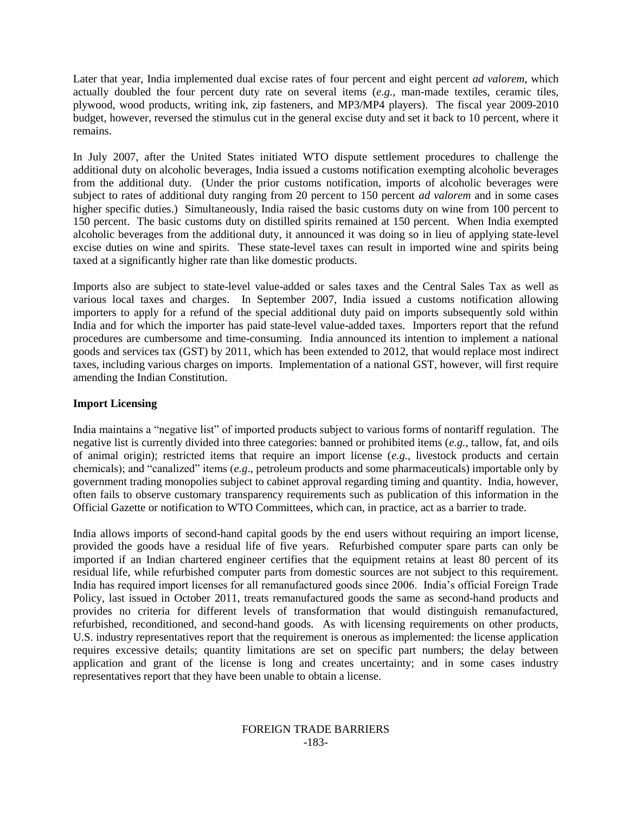Later that year, India implemented dual excise rates of four percent and eight percent *ad valorem*, which actually doubled the four percent duty rate on several items (*e.g.*, man-made textiles, ceramic tiles, plywood, wood products, writing ink, zip fasteners, and MP3/MP4 players). The fiscal year 2009-2010 budget, however, reversed the stimulus cut in the general excise duty and set it back to 10 percent, where it remains.

In July 2007, after the United States initiated WTO dispute settlement procedures to challenge the additional duty on alcoholic beverages, India issued a customs notification exempting alcoholic beverages from the additional duty. (Under the prior customs notification, imports of alcoholic beverages were subject to rates of additional duty ranging from 20 percent to 150 percent *ad valorem* and in some cases higher specific duties.) Simultaneously, India raised the basic customs duty on wine from 100 percent to 150 percent. The basic customs duty on distilled spirits remained at 150 percent. When India exempted alcoholic beverages from the additional duty, it announced it was doing so in lieu of applying state-level excise duties on wine and spirits. These state-level taxes can result in imported wine and spirits being taxed at a significantly higher rate than like domestic products.

Imports also are subject to state-level value-added or sales taxes and the Central Sales Tax as well as various local taxes and charges. In September 2007, India issued a customs notification allowing importers to apply for a refund of the special additional duty paid on imports subsequently sold within India and for which the importer has paid state-level value-added taxes. Importers report that the refund procedures are cumbersome and time-consuming. India announced its intention to implement a national goods and services tax (GST) by 2011, which has been extended to 2012, that would replace most indirect taxes, including various charges on imports. Implementation of a national GST, however, will first require amending the Indian Constitution.

# **Import Licensing**

India maintains a "negative list" of imported products subject to various forms of nontariff regulation. The negative list is currently divided into three categories: banned or prohibited items (*e.g.*, tallow, fat, and oils of animal origin); restricted items that require an import license (*e.g.*, livestock products and certain chemicals); and "canalized" items (*e.g*., petroleum products and some pharmaceuticals) importable only by government trading monopolies subject to cabinet approval regarding timing and quantity. India, however, often fails to observe customary transparency requirements such as publication of this information in the Official Gazette or notification to WTO Committees, which can, in practice, act as a barrier to trade.

India allows imports of second-hand capital goods by the end users without requiring an import license, provided the goods have a residual life of five years. Refurbished computer spare parts can only be imported if an Indian chartered engineer certifies that the equipment retains at least 80 percent of its residual life, while refurbished computer parts from domestic sources are not subject to this requirement. India has required import licenses for all remanufactured goods since 2006. India"s official Foreign Trade Policy, last issued in October 2011, treats remanufactured goods the same as second-hand products and provides no criteria for different levels of transformation that would distinguish remanufactured, refurbished, reconditioned, and second-hand goods. As with licensing requirements on other products, U.S. industry representatives report that the requirement is onerous as implemented: the license application requires excessive details; quantity limitations are set on specific part numbers; the delay between application and grant of the license is long and creates uncertainty; and in some cases industry representatives report that they have been unable to obtain a license.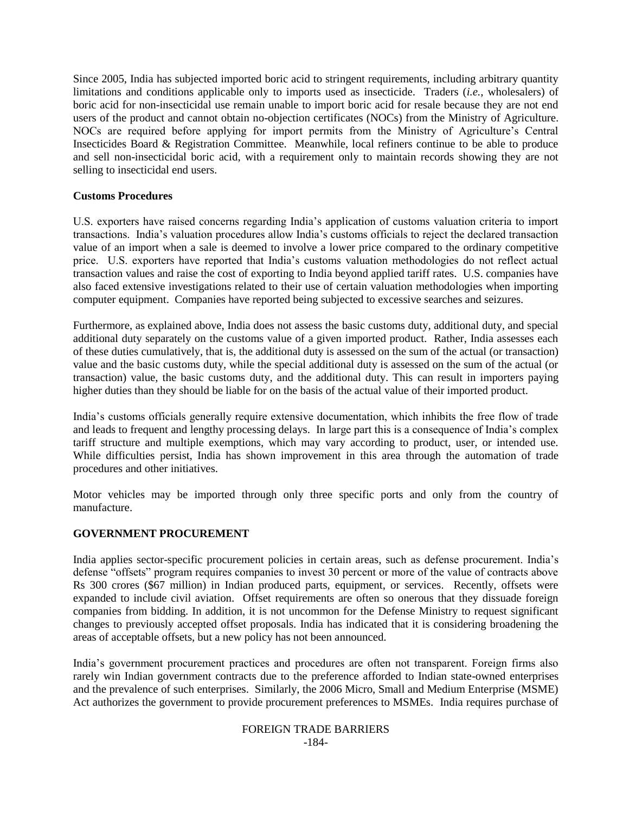Since 2005, India has subjected imported boric acid to stringent requirements, including arbitrary quantity limitations and conditions applicable only to imports used as insecticide. Traders (*i.e.*, wholesalers) of boric acid for non-insecticidal use remain unable to import boric acid for resale because they are not end users of the product and cannot obtain no-objection certificates (NOCs) from the Ministry of Agriculture. NOCs are required before applying for import permits from the Ministry of Agriculture"s Central Insecticides Board & Registration Committee. Meanwhile, local refiners continue to be able to produce and sell non-insecticidal boric acid, with a requirement only to maintain records showing they are not selling to insecticidal end users.

## **Customs Procedures**

U.S. exporters have raised concerns regarding India"s application of customs valuation criteria to import transactions. India"s valuation procedures allow India"s customs officials to reject the declared transaction value of an import when a sale is deemed to involve a lower price compared to the ordinary competitive price. U.S. exporters have reported that India's customs valuation methodologies do not reflect actual transaction values and raise the cost of exporting to India beyond applied tariff rates. U.S. companies have also faced extensive investigations related to their use of certain valuation methodologies when importing computer equipment. Companies have reported being subjected to excessive searches and seizures.

Furthermore, as explained above, India does not assess the basic customs duty, additional duty, and special additional duty separately on the customs value of a given imported product. Rather, India assesses each of these duties cumulatively, that is, the additional duty is assessed on the sum of the actual (or transaction) value and the basic customs duty, while the special additional duty is assessed on the sum of the actual (or transaction) value, the basic customs duty, and the additional duty. This can result in importers paying higher duties than they should be liable for on the basis of the actual value of their imported product.

India"s customs officials generally require extensive documentation, which inhibits the free flow of trade and leads to frequent and lengthy processing delays. In large part this is a consequence of India"s complex tariff structure and multiple exemptions, which may vary according to product, user, or intended use. While difficulties persist, India has shown improvement in this area through the automation of trade procedures and other initiatives.

Motor vehicles may be imported through only three specific ports and only from the country of manufacture.

# **GOVERNMENT PROCUREMENT**

India applies sector-specific procurement policies in certain areas, such as defense procurement. India"s defense "offsets" program requires companies to invest 30 percent or more of the value of contracts above Rs 300 crores (\$67 million) in Indian produced parts, equipment, or services. Recently, offsets were expanded to include civil aviation. Offset requirements are often so onerous that they dissuade foreign companies from bidding. In addition, it is not uncommon for the Defense Ministry to request significant changes to previously accepted offset proposals. India has indicated that it is considering broadening the areas of acceptable offsets, but a new policy has not been announced.

India"s government procurement practices and procedures are often not transparent. Foreign firms also rarely win Indian government contracts due to the preference afforded to Indian state-owned enterprises and the prevalence of such enterprises. Similarly, the 2006 Micro, Small and Medium Enterprise (MSME) Act authorizes the government to provide procurement preferences to MSMEs. India requires purchase of

#### FOREIGN TRADE BARRIERS -184-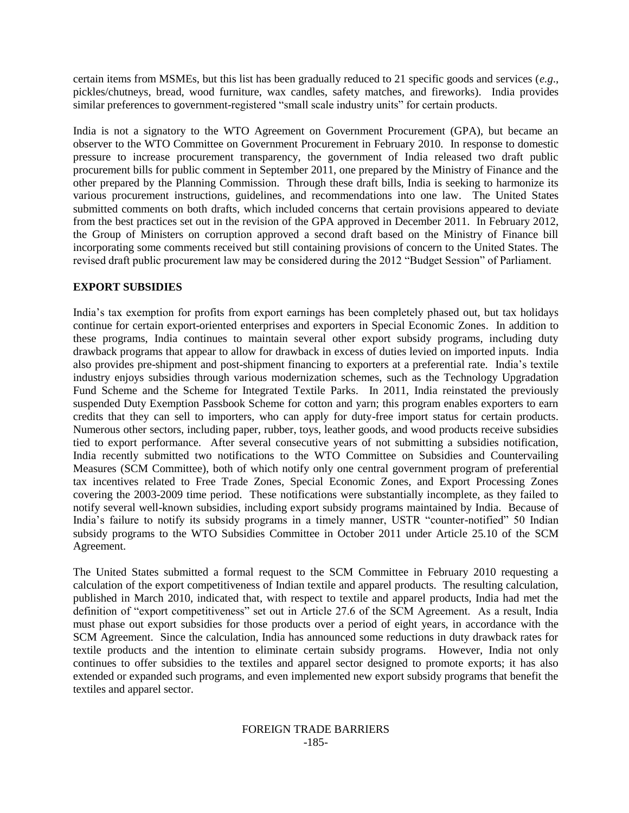certain items from MSMEs, but this list has been gradually reduced to 21 specific goods and services (*e.g*., pickles/chutneys, bread, wood furniture, wax candles, safety matches, and fireworks). India provides similar preferences to government-registered "small scale industry units" for certain products.

India is not a signatory to the WTO Agreement on Government Procurement (GPA), but became an observer to the WTO Committee on Government Procurement in February 2010. In response to domestic pressure to increase procurement transparency, the government of India released two draft public procurement bills for public comment in September 2011, one prepared by the Ministry of Finance and the other prepared by the Planning Commission. Through these draft bills, India is seeking to harmonize its various procurement instructions, guidelines, and recommendations into one law. The United States submitted comments on both drafts, which included concerns that certain provisions appeared to deviate from the best practices set out in the revision of the GPA approved in December 2011. In February 2012, the Group of Ministers on corruption approved a second draft based on the Ministry of Finance bill incorporating some comments received but still containing provisions of concern to the United States. The revised draft public procurement law may be considered during the 2012 "Budget Session" of Parliament.

## **EXPORT SUBSIDIES**

India"s tax exemption for profits from export earnings has been completely phased out, but tax holidays continue for certain export-oriented enterprises and exporters in Special Economic Zones. In addition to these programs, India continues to maintain several other export subsidy programs, including duty drawback programs that appear to allow for drawback in excess of duties levied on imported inputs. India also provides pre-shipment and post-shipment financing to exporters at a preferential rate. India"s textile industry enjoys subsidies through various modernization schemes, such as the Technology Upgradation Fund Scheme and the Scheme for Integrated Textile Parks. In 2011, India reinstated the previously suspended Duty Exemption Passbook Scheme for cotton and yarn; this program enables exporters to earn credits that they can sell to importers, who can apply for duty-free import status for certain products. Numerous other sectors, including paper, rubber, toys, leather goods, and wood products receive subsidies tied to export performance. After several consecutive years of not submitting a subsidies notification, India recently submitted two notifications to the WTO Committee on Subsidies and Countervailing Measures (SCM Committee), both of which notify only one central government program of preferential tax incentives related to Free Trade Zones, Special Economic Zones, and Export Processing Zones covering the 2003-2009 time period. These notifications were substantially incomplete, as they failed to notify several well-known subsidies, including export subsidy programs maintained by India. Because of India"s failure to notify its subsidy programs in a timely manner, USTR "counter-notified" 50 Indian subsidy programs to the WTO Subsidies Committee in October 2011 under Article 25.10 of the SCM Agreement.

The United States submitted a formal request to the SCM Committee in February 2010 requesting a calculation of the export competitiveness of Indian textile and apparel products. The resulting calculation, published in March 2010, indicated that, with respect to textile and apparel products, India had met the definition of "export competitiveness" set out in Article 27.6 of the SCM Agreement. As a result, India must phase out export subsidies for those products over a period of eight years, in accordance with the SCM Agreement. Since the calculation, India has announced some reductions in duty drawback rates for textile products and the intention to eliminate certain subsidy programs. However, India not only continues to offer subsidies to the textiles and apparel sector designed to promote exports; it has also extended or expanded such programs, and even implemented new export subsidy programs that benefit the textiles and apparel sector.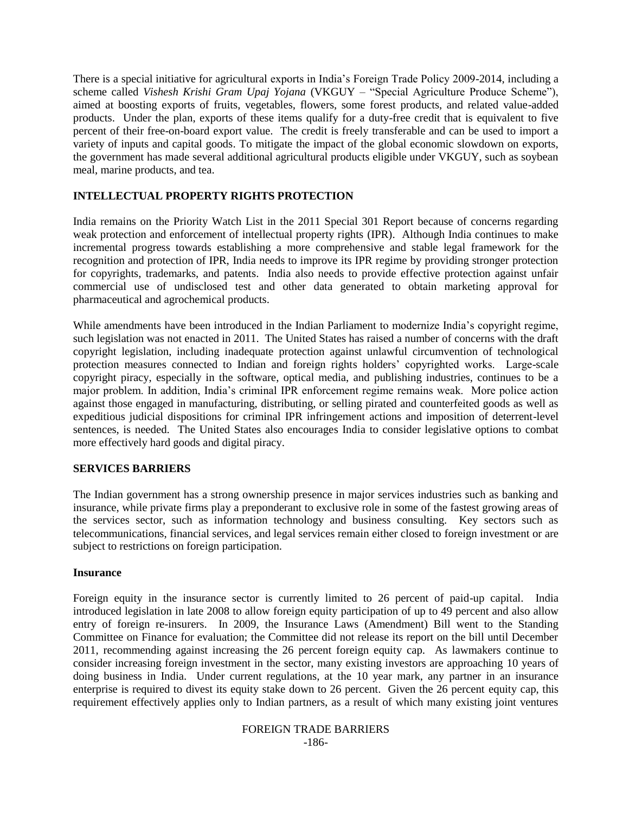There is a special initiative for agricultural exports in India"s Foreign Trade Policy 2009-2014, including a scheme called *Vishesh Krishi Gram Upaj Yojana* (VKGUY – "Special Agriculture Produce Scheme"), aimed at boosting exports of fruits, vegetables, flowers, some forest products, and related value-added products. Under the plan, exports of these items qualify for a duty-free credit that is equivalent to five percent of their free-on-board export value. The credit is freely transferable and can be used to import a variety of inputs and capital goods. To mitigate the impact of the global economic slowdown on exports, the government has made several additional agricultural products eligible under VKGUY, such as soybean meal, marine products, and tea.

## **INTELLECTUAL PROPERTY RIGHTS PROTECTION**

India remains on the Priority Watch List in the 2011 Special 301 Report because of concerns regarding weak protection and enforcement of intellectual property rights (IPR). Although India continues to make incremental progress towards establishing a more comprehensive and stable legal framework for the recognition and protection of IPR, India needs to improve its IPR regime by providing stronger protection for copyrights, trademarks, and patents. India also needs to provide effective protection against unfair commercial use of undisclosed test and other data generated to obtain marketing approval for pharmaceutical and agrochemical products.

While amendments have been introduced in the Indian Parliament to modernize India"s copyright regime, such legislation was not enacted in 2011. The United States has raised a number of concerns with the draft copyright legislation, including inadequate protection against unlawful circumvention of technological protection measures connected to Indian and foreign rights holders' copyrighted works. Large-scale copyright piracy, especially in the software, optical media, and publishing industries, continues to be a major problem. In addition, India"s criminal IPR enforcement regime remains weak. More police action against those engaged in manufacturing, distributing, or selling pirated and counterfeited goods as well as expeditious judicial dispositions for criminal IPR infringement actions and imposition of deterrent-level sentences, is needed. The United States also encourages India to consider legislative options to combat more effectively hard goods and digital piracy.

## **SERVICES BARRIERS**

The Indian government has a strong ownership presence in major services industries such as banking and insurance, while private firms play a preponderant to exclusive role in some of the fastest growing areas of the services sector, such as information technology and business consulting. Key sectors such as telecommunications, financial services, and legal services remain either closed to foreign investment or are subject to restrictions on foreign participation.

## **Insurance**

Foreign equity in the insurance sector is currently limited to 26 percent of paid-up capital. India introduced legislation in late 2008 to allow foreign equity participation of up to 49 percent and also allow entry of foreign re-insurers. In 2009, the Insurance Laws (Amendment) Bill went to the Standing Committee on Finance for evaluation; the Committee did not release its report on the bill until December 2011, recommending against increasing the 26 percent foreign equity cap. As lawmakers continue to consider increasing foreign investment in the sector, many existing investors are approaching 10 years of doing business in India. Under current regulations, at the 10 year mark, any partner in an insurance enterprise is required to divest its equity stake down to 26 percent. Given the 26 percent equity cap, this requirement effectively applies only to Indian partners, as a result of which many existing joint ventures

#### FOREIGN TRADE BARRIERS -186-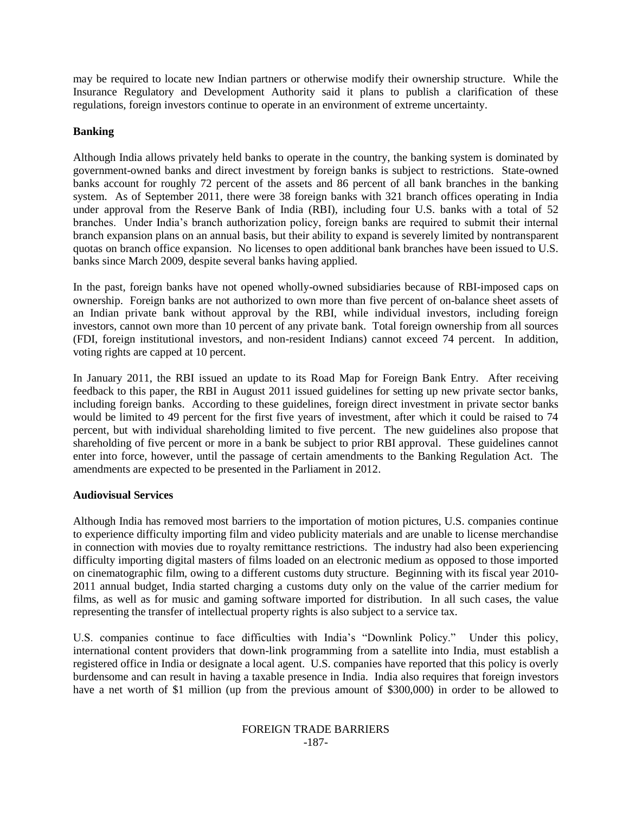may be required to locate new Indian partners or otherwise modify their ownership structure. While the Insurance Regulatory and Development Authority said it plans to publish a clarification of these regulations, foreign investors continue to operate in an environment of extreme uncertainty.

## **Banking**

Although India allows privately held banks to operate in the country, the banking system is dominated by government-owned banks and direct investment by foreign banks is subject to restrictions. State-owned banks account for roughly 72 percent of the assets and 86 percent of all bank branches in the banking system. As of September 2011, there were 38 foreign banks with 321 branch offices operating in India under approval from the Reserve Bank of India (RBI), including four U.S. banks with a total of 52 branches. Under India"s branch authorization policy, foreign banks are required to submit their internal branch expansion plans on an annual basis, but their ability to expand is severely limited by nontransparent quotas on branch office expansion. No licenses to open additional bank branches have been issued to U.S. banks since March 2009, despite several banks having applied.

In the past, foreign banks have not opened wholly-owned subsidiaries because of RBI-imposed caps on ownership. Foreign banks are not authorized to own more than five percent of on-balance sheet assets of an Indian private bank without approval by the RBI, while individual investors, including foreign investors, cannot own more than 10 percent of any private bank. Total foreign ownership from all sources (FDI, foreign institutional investors, and non-resident Indians) cannot exceed 74 percent. In addition, voting rights are capped at 10 percent.

In January 2011, the RBI issued an update to its Road Map for Foreign Bank Entry. After receiving feedback to this paper, the RBI in August 2011 issued guidelines for setting up new private sector banks, including foreign banks. According to these guidelines, foreign direct investment in private sector banks would be limited to 49 percent for the first five years of investment, after which it could be raised to 74 percent, but with individual shareholding limited to five percent. The new guidelines also propose that shareholding of five percent or more in a bank be subject to prior RBI approval. These guidelines cannot enter into force, however, until the passage of certain amendments to the Banking Regulation Act. The amendments are expected to be presented in the Parliament in 2012.

## **Audiovisual Services**

Although India has removed most barriers to the importation of motion pictures, U.S. companies continue to experience difficulty importing film and video publicity materials and are unable to license merchandise in connection with movies due to royalty remittance restrictions. The industry had also been experiencing difficulty importing digital masters of films loaded on an electronic medium as opposed to those imported on cinematographic film, owing to a different customs duty structure. Beginning with its fiscal year 2010- 2011 annual budget, India started charging a customs duty only on the value of the carrier medium for films, as well as for music and gaming software imported for distribution. In all such cases, the value representing the transfer of intellectual property rights is also subject to a service tax.

U.S. companies continue to face difficulties with India"s "Downlink Policy." Under this policy, international content providers that down-link programming from a satellite into India, must establish a registered office in India or designate a local agent. U.S. companies have reported that this policy is overly burdensome and can result in having a taxable presence in India. India also requires that foreign investors have a net worth of \$1 million (up from the previous amount of \$300,000) in order to be allowed to

#### FOREIGN TRADE BARRIERS -187-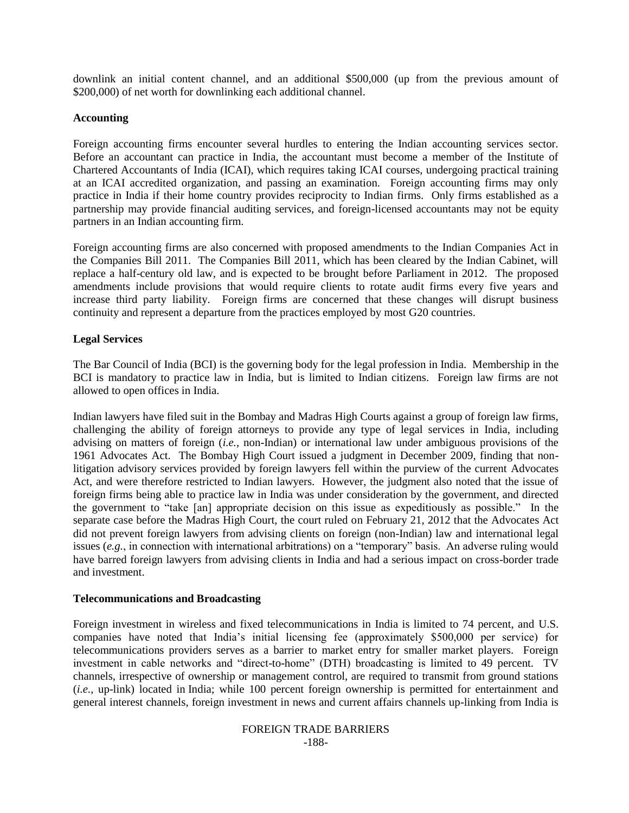downlink an initial content channel, and an additional \$500,000 (up from the previous amount of \$200,000) of net worth for downlinking each additional channel.

### **Accounting**

Foreign accounting firms encounter several hurdles to entering the Indian accounting services sector. Before an accountant can practice in India, the accountant must become a member of the Institute of Chartered Accountants of India (ICAI), which requires taking ICAI courses, undergoing practical training at an ICAI accredited organization, and passing an examination. Foreign accounting firms may only practice in India if their home country provides reciprocity to Indian firms. Only firms established as a partnership may provide financial auditing services, and foreign-licensed accountants may not be equity partners in an Indian accounting firm.

Foreign accounting firms are also concerned with proposed amendments to the Indian Companies Act in the Companies Bill 2011. The Companies Bill 2011, which has been cleared by the Indian Cabinet, will replace a half-century old law, and is expected to be brought before Parliament in 2012. The proposed amendments include provisions that would require clients to rotate audit firms every five years and increase third party liability. Foreign firms are concerned that these changes will disrupt business continuity and represent a departure from the practices employed by most G20 countries.

## **Legal Services**

The Bar Council of India (BCI) is the governing body for the legal profession in India. Membership in the BCI is mandatory to practice law in India, but is limited to Indian citizens. Foreign law firms are not allowed to open offices in India.

Indian lawyers have filed suit in the Bombay and Madras High Courts against a group of foreign law firms, challenging the ability of foreign attorneys to provide any type of legal services in India, including advising on matters of foreign (*i.e.*, non-Indian) or international law under ambiguous provisions of the 1961 Advocates Act. The Bombay High Court issued a judgment in December 2009, finding that nonlitigation advisory services provided by foreign lawyers fell within the purview of the current Advocates Act, and were therefore restricted to Indian lawyers. However, the judgment also noted that the issue of foreign firms being able to practice law in India was under consideration by the government, and directed the government to "take [an] appropriate decision on this issue as expeditiously as possible." In the separate case before the Madras High Court, the court ruled on February 21, 2012 that the Advocates Act did not prevent foreign lawyers from advising clients on foreign (non-Indian) law and international legal issues (*e.g.*, in connection with international arbitrations) on a "temporary" basis. An adverse ruling would have barred foreign lawyers from advising clients in India and had a serious impact on cross-border trade and investment.

#### **Telecommunications and Broadcasting**

Foreign investment in wireless and fixed telecommunications in India is limited to 74 percent, and U.S. companies have noted that India"s initial licensing fee (approximately \$500,000 per service) for telecommunications providers serves as a barrier to market entry for smaller market players. Foreign investment in cable networks and "direct-to-home" (DTH) broadcasting is limited to 49 percent. TV channels, irrespective of ownership or management control, are required to transmit from ground stations (*i.e.*, up-link) located in India; while 100 percent foreign ownership is permitted for entertainment and general interest channels, foreign investment in news and current affairs channels up-linking from India is

#### FOREIGN TRADE BARRIERS -188-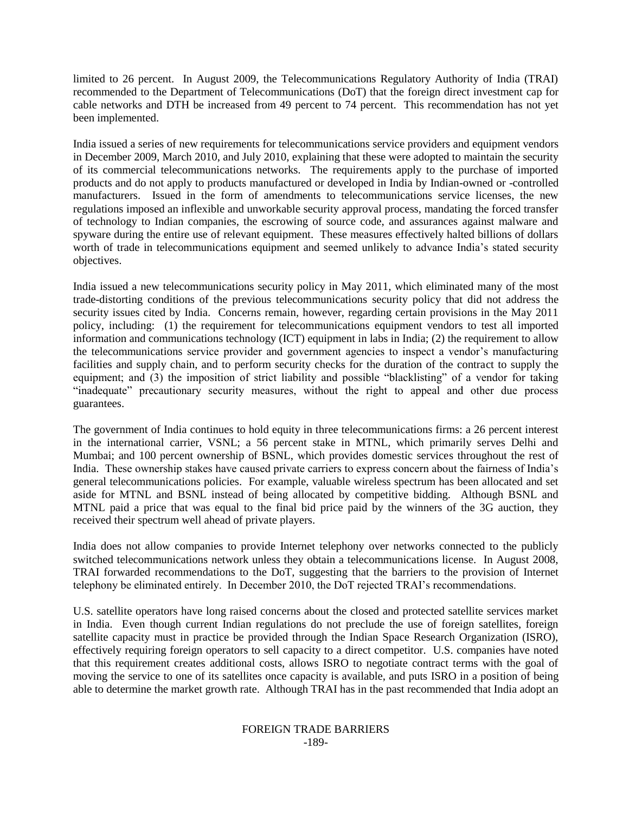limited to 26 percent. In August 2009, the Telecommunications Regulatory Authority of India (TRAI) recommended to the Department of Telecommunications (DoT) that the foreign direct investment cap for cable networks and DTH be increased from 49 percent to 74 percent. This recommendation has not yet been implemented.

India issued a series of new requirements for telecommunications service providers and equipment vendors in December 2009, March 2010, and July 2010, explaining that these were adopted to maintain the security of its commercial telecommunications networks. The requirements apply to the purchase of imported products and do not apply to products manufactured or developed in India by Indian-owned or -controlled manufacturers. Issued in the form of amendments to telecommunications service licenses, the new regulations imposed an inflexible and unworkable security approval process, mandating the forced transfer of technology to Indian companies, the escrowing of source code, and assurances against malware and spyware during the entire use of relevant equipment. These measures effectively halted billions of dollars worth of trade in telecommunications equipment and seemed unlikely to advance India's stated security objectives.

India issued a new telecommunications security policy in May 2011, which eliminated many of the most trade-distorting conditions of the previous telecommunications security policy that did not address the security issues cited by India. Concerns remain, however, regarding certain provisions in the May 2011 policy, including: (1) the requirement for telecommunications equipment vendors to test all imported information and communications technology (ICT) equipment in labs in India; (2) the requirement to allow the telecommunications service provider and government agencies to inspect a vendor"s manufacturing facilities and supply chain, and to perform security checks for the duration of the contract to supply the equipment; and (3) the imposition of strict liability and possible "blacklisting" of a vendor for taking "inadequate" precautionary security measures, without the right to appeal and other due process guarantees.

The government of India continues to hold equity in three telecommunications firms: a 26 percent interest in the international carrier, VSNL; a 56 percent stake in MTNL, which primarily serves Delhi and Mumbai; and 100 percent ownership of BSNL, which provides domestic services throughout the rest of India. These ownership stakes have caused private carriers to express concern about the fairness of India"s general telecommunications policies. For example, valuable wireless spectrum has been allocated and set aside for MTNL and BSNL instead of being allocated by competitive bidding. Although BSNL and MTNL paid a price that was equal to the final bid price paid by the winners of the 3G auction, they received their spectrum well ahead of private players.

India does not allow companies to provide Internet telephony over networks connected to the publicly switched telecommunications network unless they obtain a telecommunications license. In August 2008, TRAI forwarded recommendations to the DoT, suggesting that the barriers to the provision of Internet telephony be eliminated entirely. In December 2010, the DoT rejected TRAI"s recommendations.

U.S. satellite operators have long raised concerns about the closed and protected satellite services market in India. Even though current Indian regulations do not preclude the use of foreign satellites, foreign satellite capacity must in practice be provided through the Indian Space Research Organization (ISRO), effectively requiring foreign operators to sell capacity to a direct competitor. U.S. companies have noted that this requirement creates additional costs, allows ISRO to negotiate contract terms with the goal of moving the service to one of its satellites once capacity is available, and puts ISRO in a position of being able to determine the market growth rate. Although TRAI has in the past recommended that India adopt an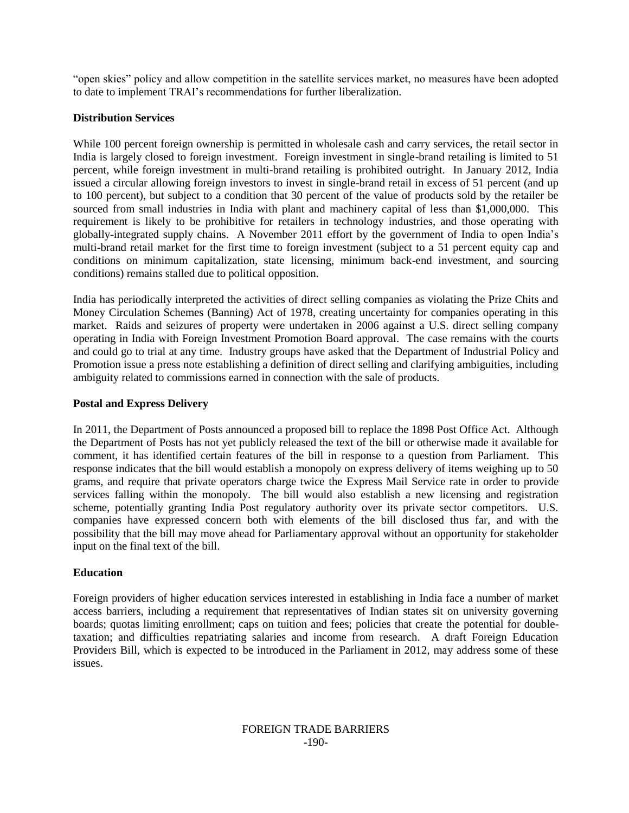"open skies" policy and allow competition in the satellite services market, no measures have been adopted to date to implement TRAI"s recommendations for further liberalization.

## **Distribution Services**

While 100 percent foreign ownership is permitted in wholesale cash and carry services, the retail sector in India is largely closed to foreign investment. Foreign investment in single-brand retailing is limited to 51 percent, while foreign investment in multi-brand retailing is prohibited outright. In January 2012, India issued a circular allowing foreign investors to invest in single-brand retail in excess of 51 percent (and up to 100 percent), but subject to a condition that 30 percent of the value of products sold by the retailer be sourced from small industries in India with plant and machinery capital of less than \$1,000,000. This requirement is likely to be prohibitive for retailers in technology industries, and those operating with globally-integrated supply chains. A November 2011 effort by the government of India to open India"s multi-brand retail market for the first time to foreign investment (subject to a 51 percent equity cap and conditions on minimum capitalization, state licensing, minimum back-end investment, and sourcing conditions) remains stalled due to political opposition.

India has periodically interpreted the activities of direct selling companies as violating the Prize Chits and Money Circulation Schemes (Banning) Act of 1978, creating uncertainty for companies operating in this market. Raids and seizures of property were undertaken in 2006 against a U.S. direct selling company operating in India with Foreign Investment Promotion Board approval. The case remains with the courts and could go to trial at any time. Industry groups have asked that the Department of Industrial Policy and Promotion issue a press note establishing a definition of direct selling and clarifying ambiguities, including ambiguity related to commissions earned in connection with the sale of products.

# **Postal and Express Delivery**

In 2011, the Department of Posts announced a proposed bill to replace the 1898 Post Office Act. Although the Department of Posts has not yet publicly released the text of the bill or otherwise made it available for comment, it has identified certain features of the bill in response to a question from Parliament. This response indicates that the bill would establish a monopoly on express delivery of items weighing up to 50 grams, and require that private operators charge twice the Express Mail Service rate in order to provide services falling within the monopoly. The bill would also establish a new licensing and registration scheme, potentially granting India Post regulatory authority over its private sector competitors. U.S. companies have expressed concern both with elements of the bill disclosed thus far, and with the possibility that the bill may move ahead for Parliamentary approval without an opportunity for stakeholder input on the final text of the bill.

# **Education**

Foreign providers of higher education services interested in establishing in India face a number of market access barriers, including a requirement that representatives of Indian states sit on university governing boards; quotas limiting enrollment; caps on tuition and fees; policies that create the potential for doubletaxation; and difficulties repatriating salaries and income from research. A draft Foreign Education Providers Bill, which is expected to be introduced in the Parliament in 2012, may address some of these issues.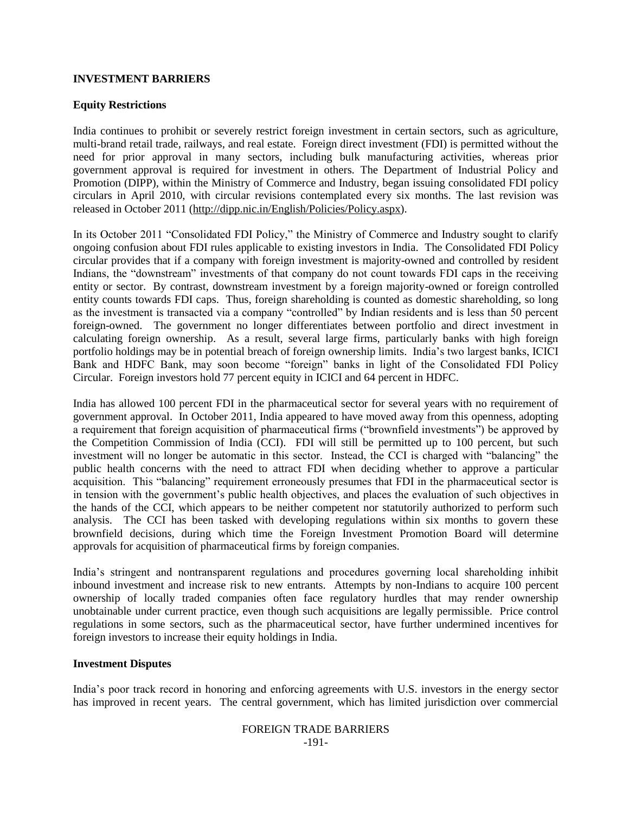## **INVESTMENT BARRIERS**

## **Equity Restrictions**

India continues to prohibit or severely restrict foreign investment in certain sectors, such as agriculture, multi-brand retail trade, railways, and real estate. Foreign direct investment (FDI) is permitted without the need for prior approval in many sectors, including bulk manufacturing activities, whereas prior government approval is required for investment in others. The Department of Industrial Policy and Promotion (DIPP), within the Ministry of Commerce and Industry, began issuing consolidated FDI policy circulars in April 2010, with circular revisions contemplated every six months. The last revision was released in October 2011 [\(http://dipp.nic.in/English/Policies/Policy.aspx\)](http://dipp.nic.in/English/Policies/Policy.aspx).

In its October 2011 "Consolidated FDI Policy," the Ministry of Commerce and Industry sought to clarify ongoing confusion about FDI rules applicable to existing investors in India. The Consolidated FDI Policy circular provides that if a company with foreign investment is majority-owned and controlled by resident Indians, the "downstream" investments of that company do not count towards FDI caps in the receiving entity or sector. By contrast, downstream investment by a foreign majority-owned or foreign controlled entity counts towards FDI caps. Thus, foreign shareholding is counted as domestic shareholding, so long as the investment is transacted via a company "controlled" by Indian residents and is less than 50 percent foreign-owned. The government no longer differentiates between portfolio and direct investment in calculating foreign ownership. As a result, several large firms, particularly banks with high foreign portfolio holdings may be in potential breach of foreign ownership limits. India"s two largest banks, ICICI Bank and HDFC Bank, may soon become "foreign" banks in light of the Consolidated FDI Policy Circular. Foreign investors hold 77 percent equity in ICICI and 64 percent in HDFC.

India has allowed 100 percent FDI in the pharmaceutical sector for several years with no requirement of government approval. In October 2011, India appeared to have moved away from this openness, adopting a requirement that foreign acquisition of pharmaceutical firms ("brownfield investments") be approved by the Competition Commission of India (CCI). FDI will still be permitted up to 100 percent, but such investment will no longer be automatic in this sector. Instead, the CCI is charged with "balancing" the public health concerns with the need to attract FDI when deciding whether to approve a particular acquisition. This "balancing" requirement erroneously presumes that FDI in the pharmaceutical sector is in tension with the government's public health objectives, and places the evaluation of such objectives in the hands of the CCI, which appears to be neither competent nor statutorily authorized to perform such analysis. The CCI has been tasked with developing regulations within six months to govern these brownfield decisions, during which time the Foreign Investment Promotion Board will determine approvals for acquisition of pharmaceutical firms by foreign companies.

India"s stringent and nontransparent regulations and procedures governing local shareholding inhibit inbound investment and increase risk to new entrants. Attempts by non-Indians to acquire 100 percent ownership of locally traded companies often face regulatory hurdles that may render ownership unobtainable under current practice, even though such acquisitions are legally permissible. Price control regulations in some sectors, such as the pharmaceutical sector, have further undermined incentives for foreign investors to increase their equity holdings in India.

## **Investment Disputes**

India"s poor track record in honoring and enforcing agreements with U.S. investors in the energy sector has improved in recent years. The central government, which has limited jurisdiction over commercial

## FOREIGN TRADE BARRIERS -191-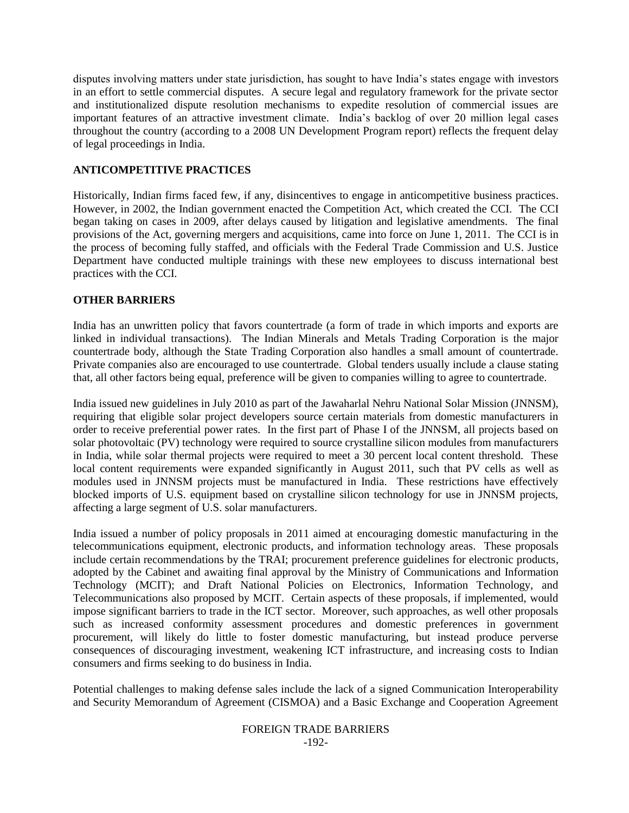disputes involving matters under state jurisdiction, has sought to have India"s states engage with investors in an effort to settle commercial disputes. A secure legal and regulatory framework for the private sector and institutionalized dispute resolution mechanisms to expedite resolution of commercial issues are important features of an attractive investment climate. India"s backlog of over 20 million legal cases throughout the country (according to a 2008 UN Development Program report) reflects the frequent delay of legal proceedings in India.

# **ANTICOMPETITIVE PRACTICES**

Historically, Indian firms faced few, if any, disincentives to engage in anticompetitive business practices. However, in 2002, the Indian government enacted the Competition Act, which created the CCI. The CCI began taking on cases in 2009, after delays caused by litigation and legislative amendments. The final provisions of the Act, governing mergers and acquisitions, came into force on June 1, 2011. The CCI is in the process of becoming fully staffed, and officials with the Federal Trade Commission and U.S. Justice Department have conducted multiple trainings with these new employees to discuss international best practices with the CCI.

# **OTHER BARRIERS**

India has an unwritten policy that favors countertrade (a form of trade in which imports and exports are linked in individual transactions). The Indian Minerals and Metals Trading Corporation is the major countertrade body, although the State Trading Corporation also handles a small amount of countertrade. Private companies also are encouraged to use countertrade. Global tenders usually include a clause stating that, all other factors being equal, preference will be given to companies willing to agree to countertrade.

India issued new guidelines in July 2010 as part of the Jawaharlal Nehru National Solar Mission (JNNSM), requiring that eligible solar project developers source certain materials from domestic manufacturers in order to receive preferential power rates. In the first part of Phase I of the JNNSM, all projects based on solar photovoltaic (PV) technology were required to source crystalline silicon modules from manufacturers in India, while solar thermal projects were required to meet a 30 percent local content threshold. These local content requirements were expanded significantly in August 2011, such that PV cells as well as modules used in JNNSM projects must be manufactured in India. These restrictions have effectively blocked imports of U.S. equipment based on crystalline silicon technology for use in JNNSM projects, affecting a large segment of U.S. solar manufacturers.

India issued a number of policy proposals in 2011 aimed at encouraging domestic manufacturing in the telecommunications equipment, electronic products, and information technology areas. These proposals include certain recommendations by the TRAI; procurement preference guidelines for electronic products, adopted by the Cabinet and awaiting final approval by the Ministry of Communications and Information Technology (MCIT); and Draft National Policies on Electronics, Information Technology, and Telecommunications also proposed by MCIT. Certain aspects of these proposals, if implemented, would impose significant barriers to trade in the ICT sector. Moreover, such approaches, as well other proposals such as increased conformity assessment procedures and domestic preferences in government procurement, will likely do little to foster domestic manufacturing, but instead produce perverse consequences of discouraging investment, weakening ICT infrastructure, and increasing costs to Indian consumers and firms seeking to do business in India.

Potential challenges to making defense sales include the lack of a signed Communication Interoperability and Security Memorandum of Agreement (CISMOA) and a Basic Exchange and Cooperation Agreement

#### FOREIGN TRADE BARRIERS -192-